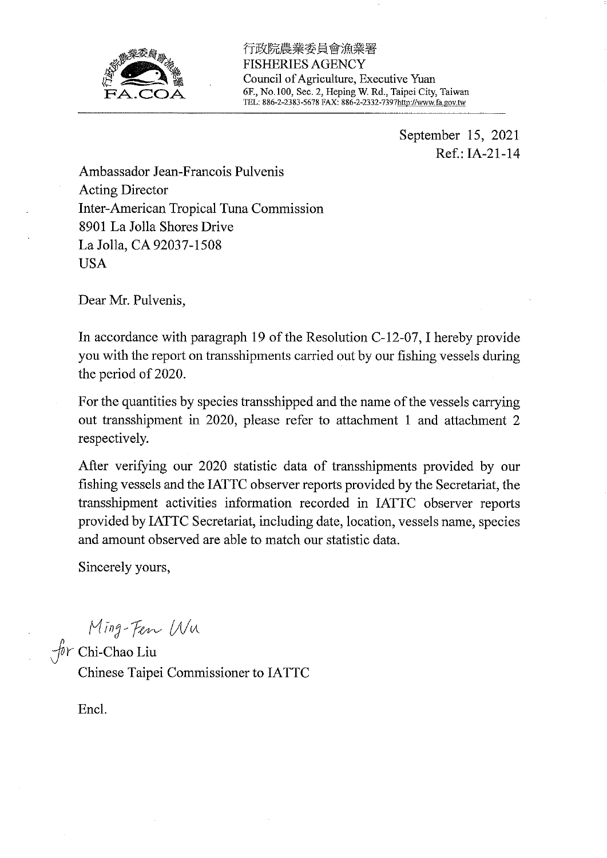

行政院農業委員會漁業署 **FISHERIES AGENCY** Council of Agriculture, Executive Yuan 6F., No.100, Sec. 2, Heping W. Rd., Taipei City, Taiwan TEL: 886-2-2383-5678 FAX: 886-2-2332-7397http://www.fa.gov.tw

> September 15, 2021 Ref.: IA-21-14

Ambassador Jean-Francois Pulvenis **Acting Director** Inter-American Tropical Tuna Commission 8901 La Jolla Shores Drive La Jolla, CA 92037-1508 **USA** 

Dear Mr. Pulvenis,

In accordance with paragraph 19 of the Resolution C-12-07, I hereby provide you with the report on transshipments carried out by our fishing vessels during the period of 2020.

For the quantities by species transshipped and the name of the vessels carrying out transshipment in 2020, please refer to attachment 1 and attachment 2 respectively.

After verifying our 2020 statistic data of transshipments provided by our fishing vessels and the IATTC observer reports provided by the Secretariat, the transshipment activities information recorded in IATTC observer reports provided by IATTC Secretariat, including date, location, vessels name, species and amount observed are able to match our statistic data.

Sincerely yours,

Ming-Fen Wu

Chinese Taipei Commissioner to IATTC

Encl.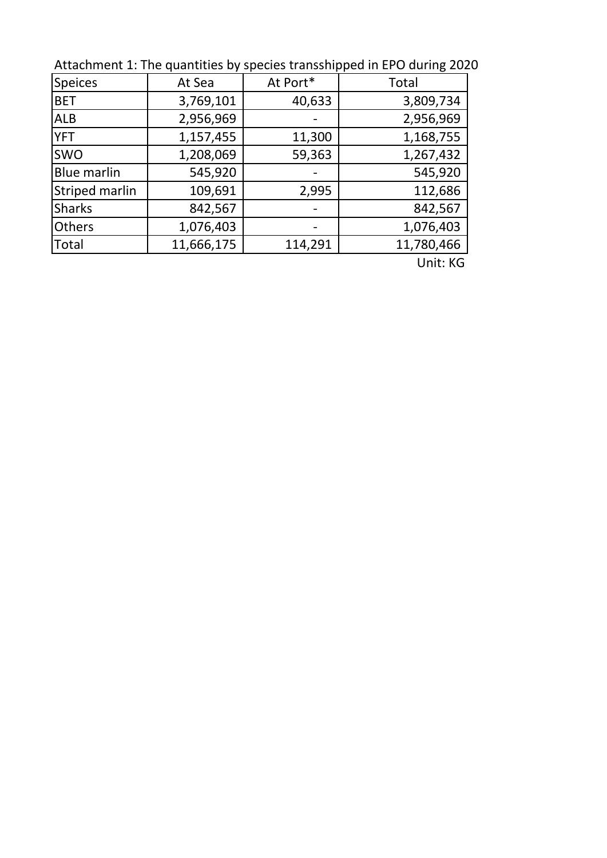Attachment 1: The quantities by species transshipped in EPO during 2020

| <b>Speices</b>        | At Sea     | At Port* | <b>Total</b> |  |
|-----------------------|------------|----------|--------------|--|
| <b>BET</b>            | 3,769,101  | 40,633   | 3,809,734    |  |
| <b>ALB</b>            | 2,956,969  |          | 2,956,969    |  |
| <b>YFT</b>            | 1,157,455  | 11,300   | 1,168,755    |  |
| <b>SWO</b>            | 1,208,069  | 59,363   | 1,267,432    |  |
| <b>Blue marlin</b>    | 545,920    |          | 545,920      |  |
| <b>Striped marlin</b> | 109,691    | 2,995    | 112,686      |  |
| <b>Sharks</b>         | 842,567    |          | 842,567      |  |
| Others                | 1,076,403  |          | 1,076,403    |  |
| Total                 | 11,666,175 | 114,291  | 11,780,466   |  |
|                       |            |          | $\cdots$     |  |

Unit: KG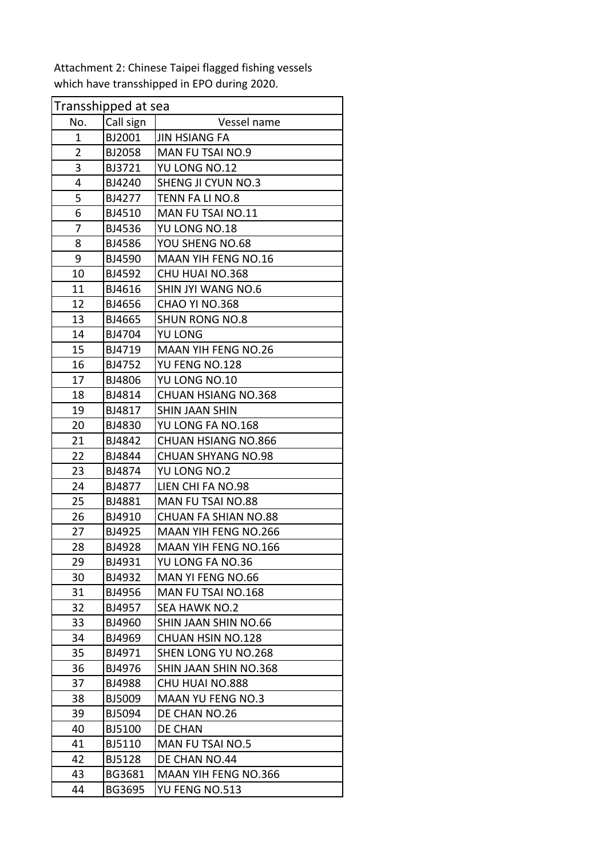| Transshipped at sea |               |                             |  |  |
|---------------------|---------------|-----------------------------|--|--|
| No.                 | Call sign     | Vessel name                 |  |  |
| 1                   | BJ2001        | <b>JIN HSIANG FA</b>        |  |  |
| $\overline{2}$      | BJ2058        | MAN FU TSAI NO.9            |  |  |
| 3                   | BJ3721        | YU LONG NO.12               |  |  |
| 4                   | BJ4240        | SHENG JI CYUN NO.3          |  |  |
| 5                   | BJ4277        | TENN FA LI NO.8             |  |  |
| $\overline{6}$      | BJ4510        | MAN FU TSAI NO.11           |  |  |
| 7                   | BJ4536        | YU LONG NO.18               |  |  |
| 8                   | BJ4586        | YOU SHENG NO.68             |  |  |
| 9                   | BJ4590        | MAAN YIH FENG NO.16         |  |  |
| 10                  | BJ4592        | CHU HUAI NO.368             |  |  |
| 11                  | BJ4616        | SHIN JYI WANG NO.6          |  |  |
| 12                  | BJ4656        | CHAO YI NO.368              |  |  |
| 13                  | BJ4665        | <b>SHUN RONG NO.8</b>       |  |  |
| 14                  | BJ4704        | YU LONG                     |  |  |
| 15                  | BJ4719        | <b>MAAN YIH FENG NO.26</b>  |  |  |
| 16                  | BJ4752        | YU FENG NO.128              |  |  |
| 17                  | BJ4806        | YU LONG NO.10               |  |  |
| 18                  | BJ4814        | <b>CHUAN HSIANG NO.368</b>  |  |  |
| 19                  | BJ4817        | <b>SHIN JAAN SHIN</b>       |  |  |
| 20                  | BJ4830        | YU LONG FA NO.168           |  |  |
| 21                  | BJ4842        | <b>CHUAN HSIANG NO.866</b>  |  |  |
| 22                  | BJ4844        | <b>CHUAN SHYANG NO.98</b>   |  |  |
| 23                  | BJ4874        | YU LONG NO.2                |  |  |
| 24                  | BJ4877        | LIEN CHI FA NO.98           |  |  |
| 25                  | BJ4881        | MAN FU TSAI NO.88           |  |  |
| 26                  | BJ4910        | <b>CHUAN FA SHIAN NO.88</b> |  |  |
| 27                  | BJ4925        | <b>MAAN YIH FENG NO.266</b> |  |  |
| 28                  | BJ4928        | <b>MAAN YIH FENG NO.166</b> |  |  |
| 29                  | BJ4931        | YU LONG FA NO.36            |  |  |
| 30                  | BJ4932        | MAN YI FENG NO.66           |  |  |
| 31                  | BJ4956        | MAN FU TSAI NO.168          |  |  |
| 32                  | BJ4957        | <b>SEA HAWK NO.2</b>        |  |  |
| 33                  | BJ4960        | SHIN JAAN SHIN NO.66        |  |  |
| 34                  | BJ4969        | CHUAN HSIN NO.128           |  |  |
| 35                  | BJ4971        | SHEN LONG YU NO.268         |  |  |
| 36                  | BJ4976        | SHIN JAAN SHIN NO.368       |  |  |
| 37                  | BJ4988        | CHU HUAI NO.888             |  |  |
| 38                  | BJ5009        | <b>MAAN YU FENG NO.3</b>    |  |  |
| 39                  | BJ5094        | DE CHAN NO.26               |  |  |
| 40                  | BJ5100        | DE CHAN                     |  |  |
| 41                  | BJ5110        | <b>MAN FU TSAI NO.5</b>     |  |  |
| 42                  | <b>BJ5128</b> | DE CHAN NO.44               |  |  |
| 43                  | BG3681        | MAAN YIH FENG NO.366        |  |  |
| 44                  | BG3695        | YU FENG NO.513              |  |  |

Attachment 2: Chinese Taipei flagged fishing vessels which have transshipped in EPO during 2020.